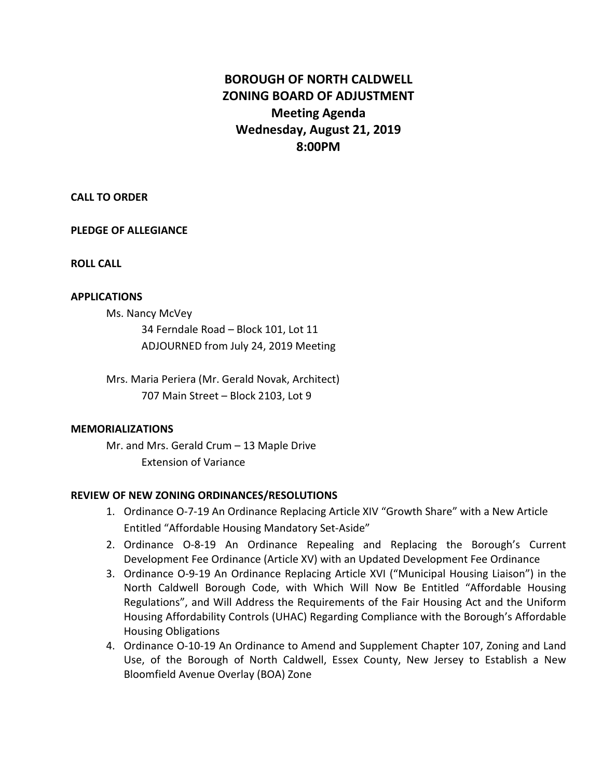## **BOROUGH OF NORTH CALDWELL ZONING BOARD OF ADJUSTMENT Meeting Agenda Wednesday, August 21, 2019 8:00PM**

**CALL TO ORDER**

**PLEDGE OF ALLEGIANCE**

**ROLL CALL**

## **APPLICATIONS**

Ms. Nancy McVey

34 Ferndale Road – Block 101, Lot 11 ADJOURNED from July 24, 2019 Meeting

Mrs. Maria Periera (Mr. Gerald Novak, Architect) 707 Main Street – Block 2103, Lot 9

## **MEMORIALIZATIONS**

Mr. and Mrs. Gerald Crum – 13 Maple Drive Extension of Variance

## **REVIEW OF NEW ZONING ORDINANCES/RESOLUTIONS**

- 1. Ordinance O-7-19 An Ordinance Replacing Article XIV "Growth Share" with a New Article Entitled "Affordable Housing Mandatory Set-Aside"
- 2. Ordinance O-8-19 An Ordinance Repealing and Replacing the Borough's Current Development Fee Ordinance (Article XV) with an Updated Development Fee Ordinance
- 3. Ordinance O-9-19 An Ordinance Replacing Article XVI ("Municipal Housing Liaison") in the North Caldwell Borough Code, with Which Will Now Be Entitled "Affordable Housing Regulations", and Will Address the Requirements of the Fair Housing Act and the Uniform Housing Affordability Controls (UHAC) Regarding Compliance with the Borough's Affordable Housing Obligations
- 4. Ordinance O-10-19 An Ordinance to Amend and Supplement Chapter 107, Zoning and Land Use, of the Borough of North Caldwell, Essex County, New Jersey to Establish a New Bloomfield Avenue Overlay (BOA) Zone